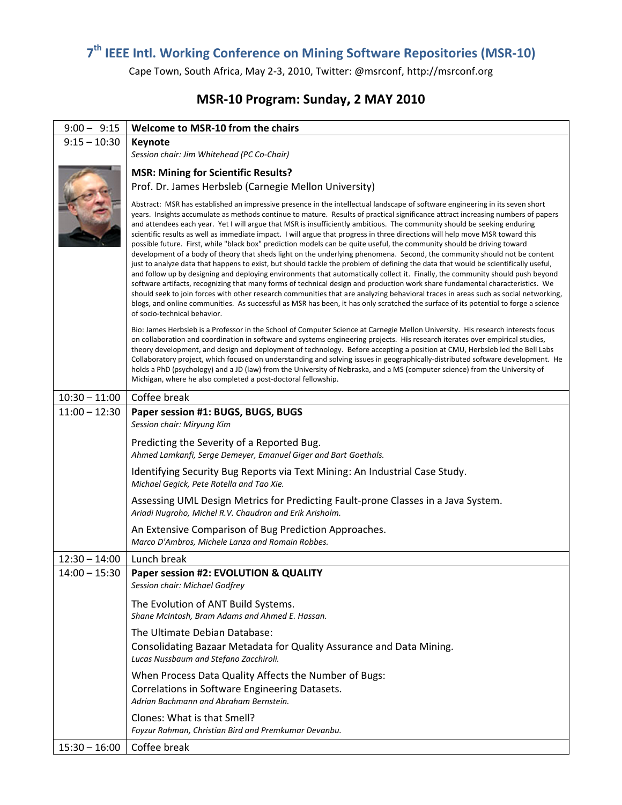## 7<sup>th</sup> IEEE Intl. Working Conference on Mining Software Repositories (MSR-10)

Cape Town, South Africa, May 2-3, 2010, Twitter: @msrconf, http://msrconf.org

## MSR-10 Program: Sunday, 2 MAY 2010

| $9:00 - 9:15$   | Welcome to MSR-10 from the chairs                                                                                                                                                                                                                                                                                                                                                                                                                                                                                                                                                                                                                                                                                                                                                                                                                                                                                                                                                                                                                                                                                                                                                                                                                                                                                                                                                                                                                                                                              |
|-----------------|----------------------------------------------------------------------------------------------------------------------------------------------------------------------------------------------------------------------------------------------------------------------------------------------------------------------------------------------------------------------------------------------------------------------------------------------------------------------------------------------------------------------------------------------------------------------------------------------------------------------------------------------------------------------------------------------------------------------------------------------------------------------------------------------------------------------------------------------------------------------------------------------------------------------------------------------------------------------------------------------------------------------------------------------------------------------------------------------------------------------------------------------------------------------------------------------------------------------------------------------------------------------------------------------------------------------------------------------------------------------------------------------------------------------------------------------------------------------------------------------------------------|
| $9:15 - 10:30$  | Keynote                                                                                                                                                                                                                                                                                                                                                                                                                                                                                                                                                                                                                                                                                                                                                                                                                                                                                                                                                                                                                                                                                                                                                                                                                                                                                                                                                                                                                                                                                                        |
|                 | Session chair: Jim Whitehead (PC Co-Chair)                                                                                                                                                                                                                                                                                                                                                                                                                                                                                                                                                                                                                                                                                                                                                                                                                                                                                                                                                                                                                                                                                                                                                                                                                                                                                                                                                                                                                                                                     |
|                 | <b>MSR: Mining for Scientific Results?</b>                                                                                                                                                                                                                                                                                                                                                                                                                                                                                                                                                                                                                                                                                                                                                                                                                                                                                                                                                                                                                                                                                                                                                                                                                                                                                                                                                                                                                                                                     |
|                 | Prof. Dr. James Herbsleb (Carnegie Mellon University)                                                                                                                                                                                                                                                                                                                                                                                                                                                                                                                                                                                                                                                                                                                                                                                                                                                                                                                                                                                                                                                                                                                                                                                                                                                                                                                                                                                                                                                          |
|                 | Abstract: MSR has established an impressive presence in the intellectual landscape of software engineering in its seven short<br>years. Insights accumulate as methods continue to mature. Results of practical significance attract increasing numbers of papers<br>and attendees each year. Yet I will argue that MSR is insufficiently ambitious. The community should be seeking enduring<br>scientific results as well as immediate impact. I will argue that progress in three directions will help move MSR toward this<br>possible future. First, while "black box" prediction models can be quite useful, the community should be driving toward<br>development of a body of theory that sheds light on the underlying phenomena. Second, the community should not be content<br>just to analyze data that happens to exist, but should tackle the problem of defining the data that would be scientifically useful,<br>and follow up by designing and deploying environments that automatically collect it. Finally, the community should push beyond<br>software artifacts, recognizing that many forms of technical design and production work share fundamental characteristics. We<br>should seek to join forces with other research communities that are analyzing behavioral traces in areas such as social networking,<br>blogs, and online communities. As successful as MSR has been, it has only scratched the surface of its potential to forge a science<br>of socio-technical behavior. |
|                 | Bio: James Herbsleb is a Professor in the School of Computer Science at Carnegie Mellon University. His research interests focus<br>on collaboration and coordination in software and systems engineering projects. His research iterates over empirical studies,<br>theory development, and design and deployment of technology. Before accepting a position at CMU, Herbsleb led the Bell Labs<br>Collaboratory project, which focused on understanding and solving issues in geographically-distributed software development. He<br>holds a PhD (psychology) and a JD (law) from the University of Nebraska, and a MS (computer science) from the University of<br>Michigan, where he also completed a post-doctoral fellowship.                                                                                                                                                                                                                                                                                                                                                                                                                                                                                                                                                                                                                                                                                                                                                                            |
| $10:30 - 11:00$ | Coffee break                                                                                                                                                                                                                                                                                                                                                                                                                                                                                                                                                                                                                                                                                                                                                                                                                                                                                                                                                                                                                                                                                                                                                                                                                                                                                                                                                                                                                                                                                                   |
| $11:00 - 12:30$ | Paper session #1: BUGS, BUGS, BUGS                                                                                                                                                                                                                                                                                                                                                                                                                                                                                                                                                                                                                                                                                                                                                                                                                                                                                                                                                                                                                                                                                                                                                                                                                                                                                                                                                                                                                                                                             |
|                 | Session chair: Miryung Kim                                                                                                                                                                                                                                                                                                                                                                                                                                                                                                                                                                                                                                                                                                                                                                                                                                                                                                                                                                                                                                                                                                                                                                                                                                                                                                                                                                                                                                                                                     |
|                 | Predicting the Severity of a Reported Bug.<br>Ahmed Lamkanfi, Serge Demeyer, Emanuel Giger and Bart Goethals.                                                                                                                                                                                                                                                                                                                                                                                                                                                                                                                                                                                                                                                                                                                                                                                                                                                                                                                                                                                                                                                                                                                                                                                                                                                                                                                                                                                                  |
|                 | Identifying Security Bug Reports via Text Mining: An Industrial Case Study.<br>Michael Gegick, Pete Rotella and Tao Xie.                                                                                                                                                                                                                                                                                                                                                                                                                                                                                                                                                                                                                                                                                                                                                                                                                                                                                                                                                                                                                                                                                                                                                                                                                                                                                                                                                                                       |
|                 | Assessing UML Design Metrics for Predicting Fault-prone Classes in a Java System.<br>Ariadi Nugroho, Michel R.V. Chaudron and Erik Arisholm.                                                                                                                                                                                                                                                                                                                                                                                                                                                                                                                                                                                                                                                                                                                                                                                                                                                                                                                                                                                                                                                                                                                                                                                                                                                                                                                                                                   |
|                 | An Extensive Comparison of Bug Prediction Approaches.<br>Marco D'Ambros, Michele Lanza and Romain Robbes.                                                                                                                                                                                                                                                                                                                                                                                                                                                                                                                                                                                                                                                                                                                                                                                                                                                                                                                                                                                                                                                                                                                                                                                                                                                                                                                                                                                                      |
| $12:30 - 14:00$ | Lunch break                                                                                                                                                                                                                                                                                                                                                                                                                                                                                                                                                                                                                                                                                                                                                                                                                                                                                                                                                                                                                                                                                                                                                                                                                                                                                                                                                                                                                                                                                                    |
| $14:00 - 15:30$ | Paper session #2: EVOLUTION & QUALITY<br>Session chair: Michael Godfrey                                                                                                                                                                                                                                                                                                                                                                                                                                                                                                                                                                                                                                                                                                                                                                                                                                                                                                                                                                                                                                                                                                                                                                                                                                                                                                                                                                                                                                        |
|                 | The Evolution of ANT Build Systems.<br>Shane McIntosh, Bram Adams and Ahmed E. Hassan.                                                                                                                                                                                                                                                                                                                                                                                                                                                                                                                                                                                                                                                                                                                                                                                                                                                                                                                                                                                                                                                                                                                                                                                                                                                                                                                                                                                                                         |
|                 | The Ultimate Debian Database:<br>Consolidating Bazaar Metadata for Quality Assurance and Data Mining.<br>Lucas Nussbaum and Stefano Zacchiroli.                                                                                                                                                                                                                                                                                                                                                                                                                                                                                                                                                                                                                                                                                                                                                                                                                                                                                                                                                                                                                                                                                                                                                                                                                                                                                                                                                                |
|                 | When Process Data Quality Affects the Number of Bugs:<br>Correlations in Software Engineering Datasets.<br>Adrian Bachmann and Abraham Bernstein.                                                                                                                                                                                                                                                                                                                                                                                                                                                                                                                                                                                                                                                                                                                                                                                                                                                                                                                                                                                                                                                                                                                                                                                                                                                                                                                                                              |
|                 | Clones: What is that Smell?<br>Foyzur Rahman, Christian Bird and Premkumar Devanbu.                                                                                                                                                                                                                                                                                                                                                                                                                                                                                                                                                                                                                                                                                                                                                                                                                                                                                                                                                                                                                                                                                                                                                                                                                                                                                                                                                                                                                            |
| $15:30 - 16:00$ | Coffee break                                                                                                                                                                                                                                                                                                                                                                                                                                                                                                                                                                                                                                                                                                                                                                                                                                                                                                                                                                                                                                                                                                                                                                                                                                                                                                                                                                                                                                                                                                   |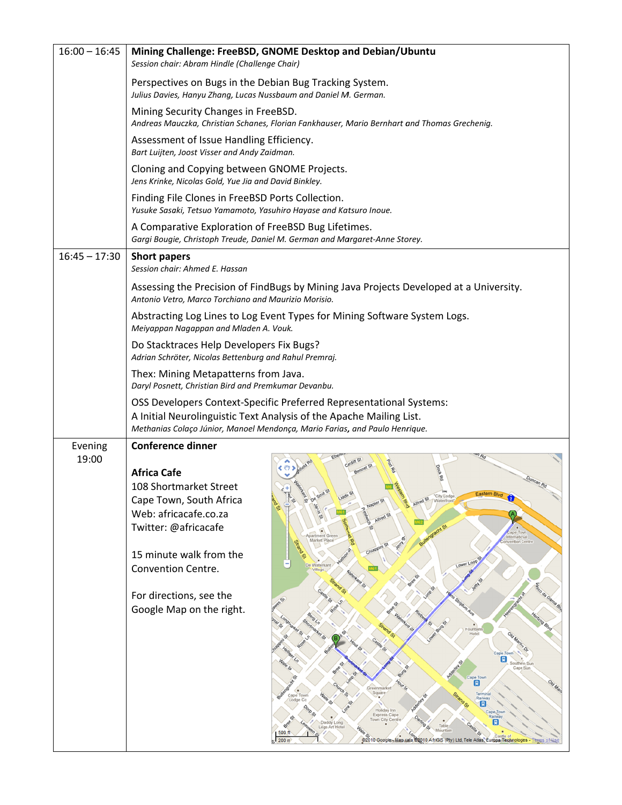| $16:00 - 16:45$ | Mining Challenge: FreeBSD, GNOME Desktop and Debian/Ubuntu<br>Session chair: Abram Hindle (Challenge Chair)                                                                                                                                                                                                                                                                                                                                                                                                                                                                                                                                                                                                                                                                                                                                                                                                                                                                                                                                                                                                              |
|-----------------|--------------------------------------------------------------------------------------------------------------------------------------------------------------------------------------------------------------------------------------------------------------------------------------------------------------------------------------------------------------------------------------------------------------------------------------------------------------------------------------------------------------------------------------------------------------------------------------------------------------------------------------------------------------------------------------------------------------------------------------------------------------------------------------------------------------------------------------------------------------------------------------------------------------------------------------------------------------------------------------------------------------------------------------------------------------------------------------------------------------------------|
|                 | Perspectives on Bugs in the Debian Bug Tracking System.<br>Julius Davies, Hanyu Zhang, Lucas Nussbaum and Daniel M. German.                                                                                                                                                                                                                                                                                                                                                                                                                                                                                                                                                                                                                                                                                                                                                                                                                                                                                                                                                                                              |
|                 | Mining Security Changes in FreeBSD.<br>Andreas Mauczka, Christian Schanes, Florian Fankhauser, Mario Bernhart and Thomas Grechenig.                                                                                                                                                                                                                                                                                                                                                                                                                                                                                                                                                                                                                                                                                                                                                                                                                                                                                                                                                                                      |
|                 | Assessment of Issue Handling Efficiency.<br>Bart Luijten, Joost Visser and Andy Zaidman.                                                                                                                                                                                                                                                                                                                                                                                                                                                                                                                                                                                                                                                                                                                                                                                                                                                                                                                                                                                                                                 |
|                 | Cloning and Copying between GNOME Projects.<br>Jens Krinke, Nicolas Gold, Yue Jia and David Binkley.                                                                                                                                                                                                                                                                                                                                                                                                                                                                                                                                                                                                                                                                                                                                                                                                                                                                                                                                                                                                                     |
|                 | Finding File Clones in FreeBSD Ports Collection.<br>Yusuke Sasaki, Tetsuo Yamamoto, Yasuhiro Hayase and Katsuro Inoue.                                                                                                                                                                                                                                                                                                                                                                                                                                                                                                                                                                                                                                                                                                                                                                                                                                                                                                                                                                                                   |
|                 | A Comparative Exploration of FreeBSD Bug Lifetimes.<br>Gargi Bougie, Christoph Treude, Daniel M. German and Margaret-Anne Storey.                                                                                                                                                                                                                                                                                                                                                                                                                                                                                                                                                                                                                                                                                                                                                                                                                                                                                                                                                                                        |
| $16:45 - 17:30$ | <b>Short papers</b><br>Session chair: Ahmed E. Hassan                                                                                                                                                                                                                                                                                                                                                                                                                                                                                                                                                                                                                                                                                                                                                                                                                                                                                                                                                                                                                                                                    |
|                 | Assessing the Precision of FindBugs by Mining Java Projects Developed at a University.<br>Antonio Vetro, Marco Torchiano and Maurizio Morisio.                                                                                                                                                                                                                                                                                                                                                                                                                                                                                                                                                                                                                                                                                                                                                                                                                                                                                                                                                                           |
|                 | Abstracting Log Lines to Log Event Types for Mining Software System Logs.<br>Meiyappan Nagappan and Mladen A. Vouk.                                                                                                                                                                                                                                                                                                                                                                                                                                                                                                                                                                                                                                                                                                                                                                                                                                                                                                                                                                                                      |
|                 | Do Stacktraces Help Developers Fix Bugs?<br>Adrian Schröter, Nicolas Bettenburg and Rahul Premraj.                                                                                                                                                                                                                                                                                                                                                                                                                                                                                                                                                                                                                                                                                                                                                                                                                                                                                                                                                                                                                       |
|                 | Thex: Mining Metapatterns from Java.<br>Daryl Posnett, Christian Bird and Premkumar Devanbu.                                                                                                                                                                                                                                                                                                                                                                                                                                                                                                                                                                                                                                                                                                                                                                                                                                                                                                                                                                                                                             |
|                 | OSS Developers Context-Specific Preferred Representational Systems:<br>A Initial Neurolinguistic Text Analysis of the Apache Mailing List.<br>Methanias Colaço Júnior, Manoel Mendonça, Mario Farias, and Paulo Henrique.                                                                                                                                                                                                                                                                                                                                                                                                                                                                                                                                                                                                                                                                                                                                                                                                                                                                                                |
| Evening         | <b>Conference dinner</b>                                                                                                                                                                                                                                                                                                                                                                                                                                                                                                                                                                                                                                                                                                                                                                                                                                                                                                                                                                                                                                                                                                 |
| 19:00           | <b>Africa Cafe</b><br>108 Shortmarket Street<br>"City Lodge<br>Cape Town, South Africa<br>Janis St<br>ڥ<br>Web: africacafe.co.za<br>Alfred St<br>Twitter: @africacafe<br>õ,<br>ape Town<br>partment Green<br>International<br>Jerry<br>Market Place<br>onvention Centre<br>15 minute walk from the<br>Lower Loop<br>De Waterkant<br>Convention Centre.<br>Village<br>sico da Gama Bib<br>For directions, see the<br>6<br>s Sinjaun Ave<br>Google Map on the right.<br>Berg Ln<br>Shortmarker St<br>\$<br>$\mathcal{O}_r$<br>Burg<br>arket of<br>Fountain<br>Hotel<br>Old Marine Or<br>S,<br>Cape Town<br>圓<br>Adderes 5<br>Southern Sun<br>S,<br>Cape Sun<br>S.<br>ら<br>Cape Town<br>公<br>Old Man<br>圓<br><b>Your St</b><br>Greenmarket<br>Square<br>৽<br>Termina<br>Cape Town<br>Railway<br>Lodge Cc<br>O)<br>圓<br>Adde<br>Dorp St<br>Holiday Inn<br>Cape <sub>Iow</sub><br><b>Express Cape</b><br>Railwa<br>Town City Centre<br>Daddy Long<br>BEE<br>Table<br>Legs Art Hote<br>Mountain<br>$\omega^{\text{e}}$<br>500 ft<br>22010 Google-Man data 22010 Africits (Pty) Ltd, Tele Atlas, Europa Technologies -<br>200 m |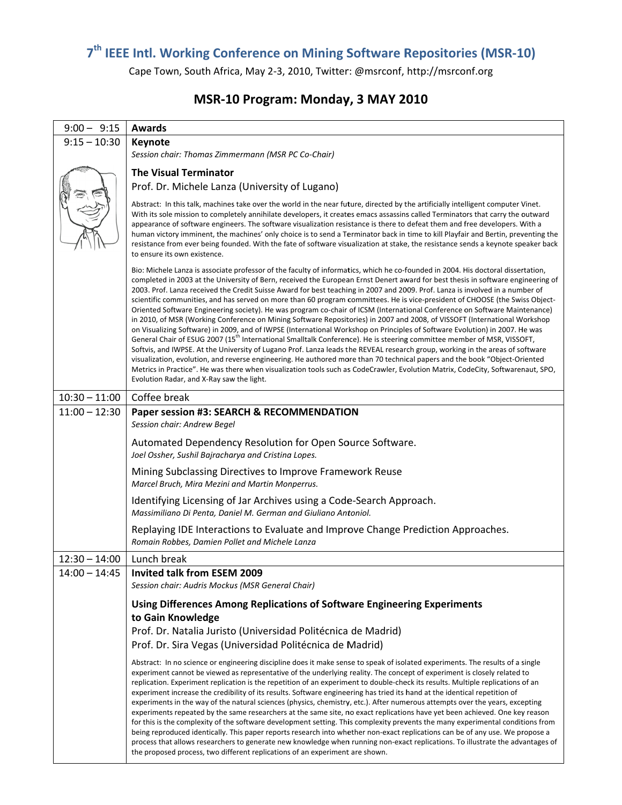## 7<sup>th</sup> IEEE Intl. Working Conference on Mining Software Repositories (MSR-10)

Cape Town, South Africa, May 2-3, 2010, Twitter: @msrconf, http://msrconf.org

## MSR-10 Program: Monday, 3 MAY 2010

| $9:00 - 9:15$   | <b>Awards</b>                                                                                                                                                                                                                                                                                                                                                                                                                                                                                                                                                                                                                                                                                                                                                                                                                                                                                                                                                                                                                                                                                                                                                                                                                                                                                                                                                                                                                                                                                                        |
|-----------------|----------------------------------------------------------------------------------------------------------------------------------------------------------------------------------------------------------------------------------------------------------------------------------------------------------------------------------------------------------------------------------------------------------------------------------------------------------------------------------------------------------------------------------------------------------------------------------------------------------------------------------------------------------------------------------------------------------------------------------------------------------------------------------------------------------------------------------------------------------------------------------------------------------------------------------------------------------------------------------------------------------------------------------------------------------------------------------------------------------------------------------------------------------------------------------------------------------------------------------------------------------------------------------------------------------------------------------------------------------------------------------------------------------------------------------------------------------------------------------------------------------------------|
| $9:15 - 10:30$  | <b>Keynote</b>                                                                                                                                                                                                                                                                                                                                                                                                                                                                                                                                                                                                                                                                                                                                                                                                                                                                                                                                                                                                                                                                                                                                                                                                                                                                                                                                                                                                                                                                                                       |
|                 | Session chair: Thomas Zimmermann (MSR PC Co-Chair)                                                                                                                                                                                                                                                                                                                                                                                                                                                                                                                                                                                                                                                                                                                                                                                                                                                                                                                                                                                                                                                                                                                                                                                                                                                                                                                                                                                                                                                                   |
|                 | <b>The Visual Terminator</b>                                                                                                                                                                                                                                                                                                                                                                                                                                                                                                                                                                                                                                                                                                                                                                                                                                                                                                                                                                                                                                                                                                                                                                                                                                                                                                                                                                                                                                                                                         |
|                 | Prof. Dr. Michele Lanza (University of Lugano)                                                                                                                                                                                                                                                                                                                                                                                                                                                                                                                                                                                                                                                                                                                                                                                                                                                                                                                                                                                                                                                                                                                                                                                                                                                                                                                                                                                                                                                                       |
|                 | Abstract: In this talk, machines take over the world in the near future, directed by the artificially intelligent computer Vinet.<br>With its sole mission to completely annihilate developers, it creates emacs assassins called Terminators that carry the outward<br>appearance of software engineers. The software visualization resistance is there to defeat them and free developers. With a<br>human victory imminent, the machines' only choice is to send a Terminator back in time to kill Playfair and Bertin, preventing the<br>resistance from ever being founded. With the fate of software visualization at stake, the resistance sends a keynote speaker back<br>to ensure its own existence.                                                                                                                                                                                                                                                                                                                                                                                                                                                                                                                                                                                                                                                                                                                                                                                                       |
|                 | Bio: Michele Lanza is associate professor of the faculty of informatics, which he co-founded in 2004. His doctoral dissertation,<br>completed in 2003 at the University of Bern, received the European Ernst Denert award for best thesis in software engineering of<br>2003. Prof. Lanza received the Credit Suisse Award for best teaching in 2007 and 2009. Prof. Lanza is involved in a number of<br>scientific communities, and has served on more than 60 program committees. He is vice-president of CHOOSE (the Swiss Object-<br>Oriented Software Engineering society). He was program co-chair of ICSM (International Conference on Software Maintenance)<br>in 2010, of MSR (Working Conference on Mining Software Repositories) in 2007 and 2008, of VISSOFT (International Workshop<br>on Visualizing Software) in 2009, and of IWPSE (International Workshop on Principles of Software Evolution) in 2007. He was<br>General Chair of ESUG 2007 (15 <sup>th</sup> International Smalltalk Conference). He is steering committee member of MSR, VISSOFT,<br>Softvis, and IWPSE. At the University of Lugano Prof. Lanza leads the REVEAL research group, working in the areas of software<br>visualization, evolution, and reverse engineering. He authored more than 70 technical papers and the book "Object-Oriented<br>Metrics in Practice". He was there when visualization tools such as CodeCrawler, Evolution Matrix, CodeCity, Softwarenaut, SPO,<br>Evolution Radar, and X-Ray saw the light. |
| $10:30 - 11:00$ | Coffee break                                                                                                                                                                                                                                                                                                                                                                                                                                                                                                                                                                                                                                                                                                                                                                                                                                                                                                                                                                                                                                                                                                                                                                                                                                                                                                                                                                                                                                                                                                         |
| $11:00 - 12:30$ | Paper session #3: SEARCH & RECOMMENDATION                                                                                                                                                                                                                                                                                                                                                                                                                                                                                                                                                                                                                                                                                                                                                                                                                                                                                                                                                                                                                                                                                                                                                                                                                                                                                                                                                                                                                                                                            |
|                 | Session chair: Andrew Begel                                                                                                                                                                                                                                                                                                                                                                                                                                                                                                                                                                                                                                                                                                                                                                                                                                                                                                                                                                                                                                                                                                                                                                                                                                                                                                                                                                                                                                                                                          |
|                 | Automated Dependency Resolution for Open Source Software.<br>Joel Ossher, Sushil Bajracharya and Cristina Lopes.                                                                                                                                                                                                                                                                                                                                                                                                                                                                                                                                                                                                                                                                                                                                                                                                                                                                                                                                                                                                                                                                                                                                                                                                                                                                                                                                                                                                     |
|                 | Mining Subclassing Directives to Improve Framework Reuse<br>Marcel Bruch, Mira Mezini and Martin Monperrus.                                                                                                                                                                                                                                                                                                                                                                                                                                                                                                                                                                                                                                                                                                                                                                                                                                                                                                                                                                                                                                                                                                                                                                                                                                                                                                                                                                                                          |
|                 | Identifying Licensing of Jar Archives using a Code-Search Approach.<br>Massimiliano Di Penta, Daniel M. German and Giuliano Antoniol.                                                                                                                                                                                                                                                                                                                                                                                                                                                                                                                                                                                                                                                                                                                                                                                                                                                                                                                                                                                                                                                                                                                                                                                                                                                                                                                                                                                |
|                 | Replaying IDE Interactions to Evaluate and Improve Change Prediction Approaches.<br>Romain Robbes, Damien Pollet and Michele Lanza                                                                                                                                                                                                                                                                                                                                                                                                                                                                                                                                                                                                                                                                                                                                                                                                                                                                                                                                                                                                                                                                                                                                                                                                                                                                                                                                                                                   |
| $12:30 - 14:00$ | Lunch break                                                                                                                                                                                                                                                                                                                                                                                                                                                                                                                                                                                                                                                                                                                                                                                                                                                                                                                                                                                                                                                                                                                                                                                                                                                                                                                                                                                                                                                                                                          |
| $14:00 - 14:45$ | Invited talk from FSFM 2009                                                                                                                                                                                                                                                                                                                                                                                                                                                                                                                                                                                                                                                                                                                                                                                                                                                                                                                                                                                                                                                                                                                                                                                                                                                                                                                                                                                                                                                                                          |
|                 | Session chair: Audris Mockus (MSR General Chair)                                                                                                                                                                                                                                                                                                                                                                                                                                                                                                                                                                                                                                                                                                                                                                                                                                                                                                                                                                                                                                                                                                                                                                                                                                                                                                                                                                                                                                                                     |
|                 | Using Differences Among Replications of Software Engineering Experiments                                                                                                                                                                                                                                                                                                                                                                                                                                                                                                                                                                                                                                                                                                                                                                                                                                                                                                                                                                                                                                                                                                                                                                                                                                                                                                                                                                                                                                             |
|                 | to Gain Knowledge                                                                                                                                                                                                                                                                                                                                                                                                                                                                                                                                                                                                                                                                                                                                                                                                                                                                                                                                                                                                                                                                                                                                                                                                                                                                                                                                                                                                                                                                                                    |
|                 | Prof. Dr. Natalia Juristo (Universidad Politécnica de Madrid)                                                                                                                                                                                                                                                                                                                                                                                                                                                                                                                                                                                                                                                                                                                                                                                                                                                                                                                                                                                                                                                                                                                                                                                                                                                                                                                                                                                                                                                        |
|                 | Prof. Dr. Sira Vegas (Universidad Politécnica de Madrid)                                                                                                                                                                                                                                                                                                                                                                                                                                                                                                                                                                                                                                                                                                                                                                                                                                                                                                                                                                                                                                                                                                                                                                                                                                                                                                                                                                                                                                                             |
|                 | Abstract: In no science or engineering discipline does it make sense to speak of isolated experiments. The results of a single<br>experiment cannot be viewed as representative of the underlying reality. The concept of experiment is closely related to<br>replication. Experiment replication is the repetition of an experiment to double-check its results. Multiple replications of an<br>experiment increase the credibility of its results. Software engineering has tried its hand at the identical repetition of<br>experiments in the way of the natural sciences (physics, chemistry, etc.). After numerous attempts over the years, excepting<br>experiments repeated by the same researchers at the same site, no exact replications have yet been achieved. One key reason<br>for this is the complexity of the software development setting. This complexity prevents the many experimental conditions from<br>being reproduced identically. This paper reports research into whether non-exact replications can be of any use. We propose a<br>process that allows researchers to generate new knowledge when running non-exact replications. To illustrate the advantages of<br>the proposed process, two different replications of an experiment are shown.                                                                                                                                                                                                                                      |